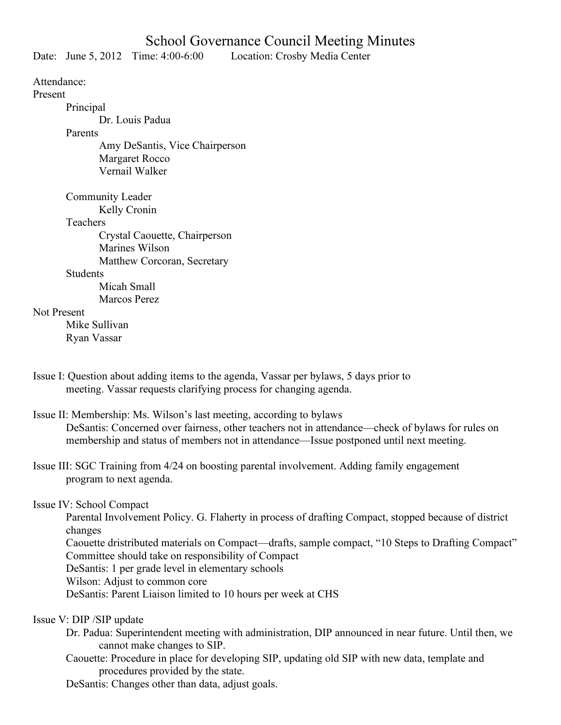## School Governance Council Meeting Minutes

Date: June 5, 2012 Time: 4:00-6:00 Location: Crosby Media Center

Attendance:

Present

Principal

Dr. Louis Padua

Parents

Amy DeSantis, Vice Chairperson Margaret Rocco Vernail Walker

Community Leader

Kelly Cronin

**Teachers** 

Crystal Caouette, Chairperson Marines Wilson Matthew Corcoran, Secretary

**Students** 

 Micah Small Marcos Perez

## Not Present

Mike Sullivan Ryan Vassar

Issue I: Question about adding items to the agenda, Vassar per bylaws, 5 days prior to meeting. Vassar requests clarifying process for changing agenda.

Issue II: Membership: Ms. Wilson's last meeting, according to bylaws DeSantis: Concerned over fairness, other teachers not in attendance—check of bylaws for rules on membership and status of members not in attendance—Issue postponed until next meeting.

Issue III: SGC Training from 4/24 on boosting parental involvement. Adding family engagement program to next agenda.

## Issue IV: School Compact

Parental Involvement Policy. G. Flaherty in process of drafting Compact, stopped because of district changes

Caouette dristributed materials on Compact—drafts, sample compact, "10 Steps to Drafting Compact" Committee should take on responsibility of Compact

DeSantis: 1 per grade level in elementary schools

Wilson: Adjust to common core

DeSantis: Parent Liaison limited to 10 hours per week at CHS

Issue V: DIP /SIP update

- Dr. Padua: Superintendent meeting with administration, DIP announced in near future. Until then, we cannot make changes to SIP.
- Caouette: Procedure in place for developing SIP, updating old SIP with new data, template and procedures provided by the state.

DeSantis: Changes other than data, adjust goals.